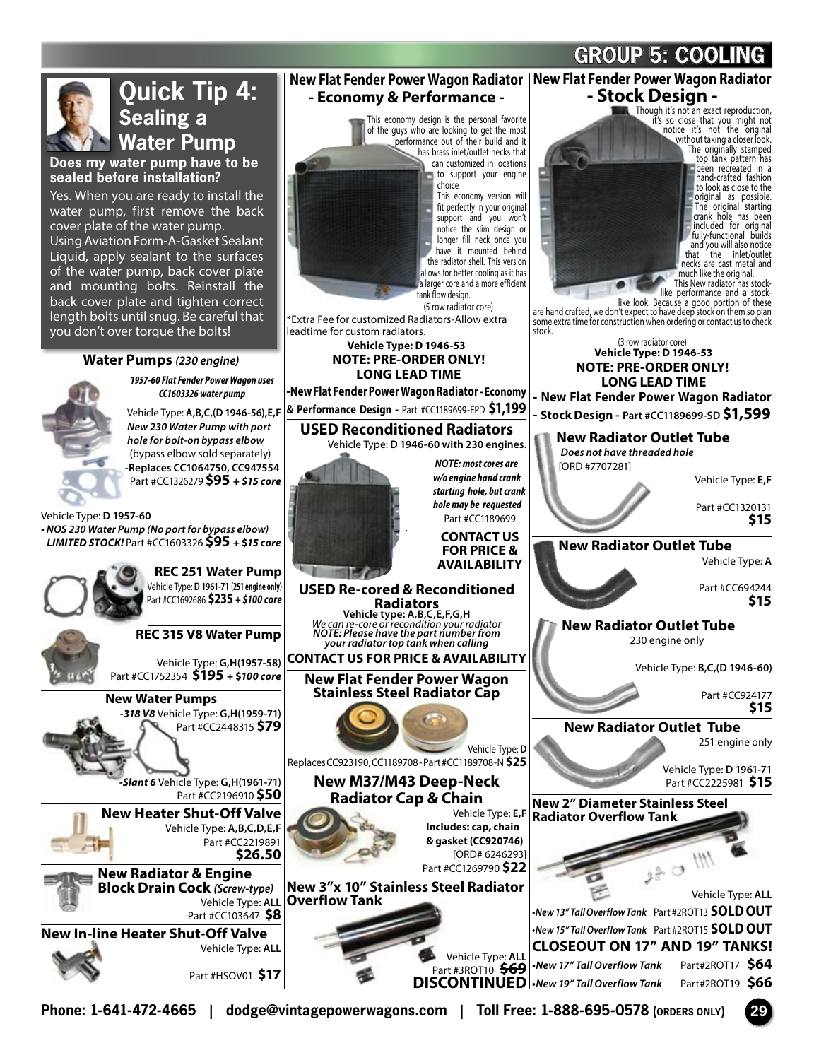

**Phone: 1-641-472-4665 | dodge@vintagepowerwagons.com | Toll Free: 1-888-695-0578 (ORDERS ONLY) 29**